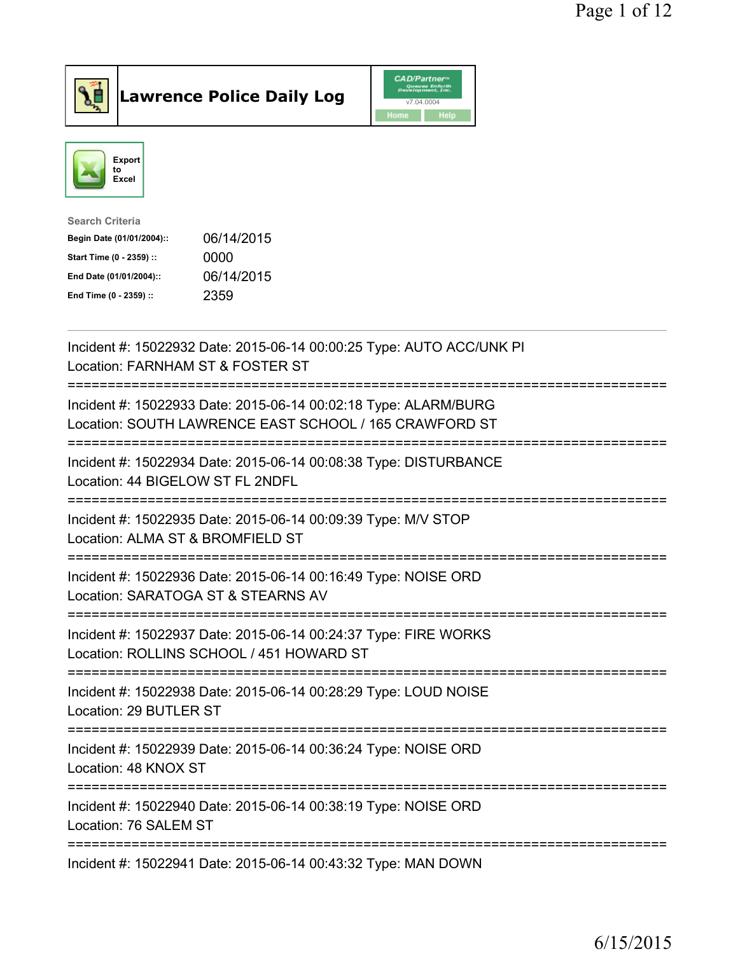

Lawrence Police Daily Log CAD/Partners



| <b>Search Criteria</b>    |            |
|---------------------------|------------|
| Begin Date (01/01/2004):: | 06/14/2015 |
| Start Time (0 - 2359) ::  | 0000       |
| End Date (01/01/2004)::   | 06/14/2015 |
| End Time (0 - 2359) ::    | 2359       |
|                           |            |

| Incident #: 15022932 Date: 2015-06-14 00:00:25 Type: AUTO ACC/UNK PI<br>Location: FARNHAM ST & FOSTER ST                                       |
|------------------------------------------------------------------------------------------------------------------------------------------------|
| Incident #: 15022933 Date: 2015-06-14 00:02:18 Type: ALARM/BURG<br>Location: SOUTH LAWRENCE EAST SCHOOL / 165 CRAWFORD ST                      |
| Incident #: 15022934 Date: 2015-06-14 00:08:38 Type: DISTURBANCE<br>Location: 44 BIGELOW ST FL 2NDFL<br>-----------<br>======================= |
| Incident #: 15022935 Date: 2015-06-14 00:09:39 Type: M/V STOP<br>Location: ALMA ST & BROMFIELD ST<br>========================                  |
| Incident #: 15022936 Date: 2015-06-14 00:16:49 Type: NOISE ORD<br>Location: SARATOGA ST & STEARNS AV<br>==============================         |
| Incident #: 15022937 Date: 2015-06-14 00:24:37 Type: FIRE WORKS<br>Location: ROLLINS SCHOOL / 451 HOWARD ST                                    |
| ===============================<br>Incident #: 15022938 Date: 2015-06-14 00:28:29 Type: LOUD NOISE<br>Location: 29 BUTLER ST                   |
| Incident #: 15022939 Date: 2015-06-14 00:36:24 Type: NOISE ORD<br>Location: 48 KNOX ST                                                         |
| Incident #: 15022940 Date: 2015-06-14 00:38:19 Type: NOISE ORD<br>Location: 76 SALEM ST                                                        |
| Incident #: 15022941 Date: 2015-06-14 00:43:32 Type: MAN DOWN                                                                                  |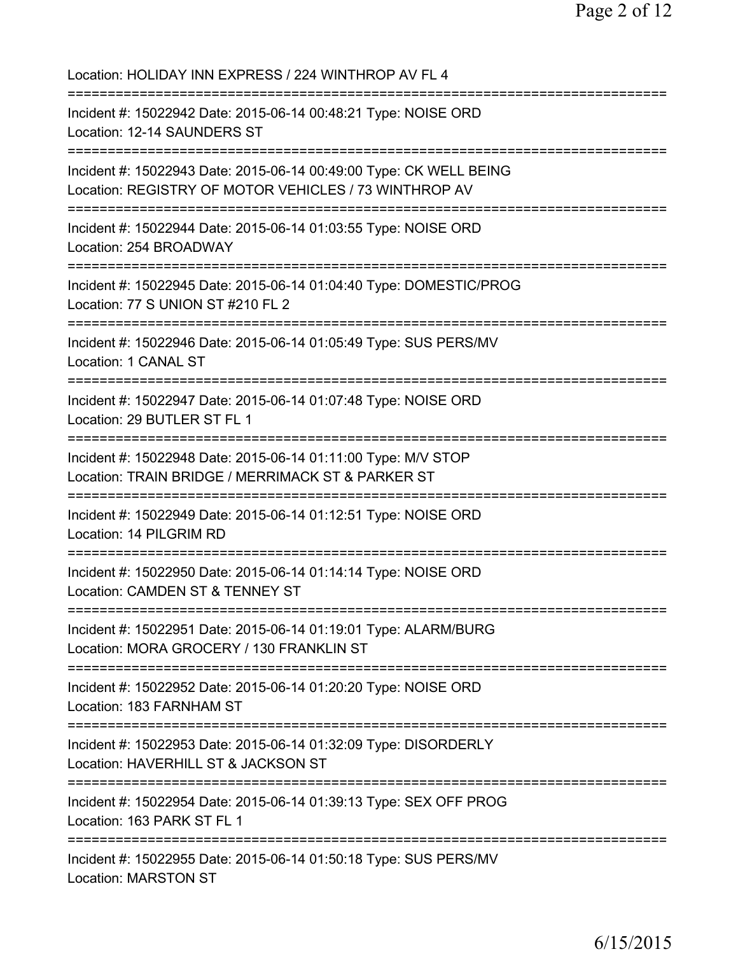| Location: HOLIDAY INN EXPRESS / 224 WINTHROP AV FL 4                                                                                               |
|----------------------------------------------------------------------------------------------------------------------------------------------------|
| Incident #: 15022942 Date: 2015-06-14 00:48:21 Type: NOISE ORD<br>Location: 12-14 SAUNDERS ST<br>=====================================             |
| Incident #: 15022943 Date: 2015-06-14 00:49:00 Type: CK WELL BEING<br>Location: REGISTRY OF MOTOR VEHICLES / 73 WINTHROP AV                        |
| Incident #: 15022944 Date: 2015-06-14 01:03:55 Type: NOISE ORD<br>Location: 254 BROADWAY                                                           |
| Incident #: 15022945 Date: 2015-06-14 01:04:40 Type: DOMESTIC/PROG<br>Location: 77 S UNION ST #210 FL 2                                            |
| ----------------------<br>Incident #: 15022946 Date: 2015-06-14 01:05:49 Type: SUS PERS/MV<br><b>Location: 1 CANAL ST</b>                          |
| Incident #: 15022947 Date: 2015-06-14 01:07:48 Type: NOISE ORD<br>Location: 29 BUTLER ST FL 1<br>======================                            |
| Incident #: 15022948 Date: 2015-06-14 01:11:00 Type: M/V STOP<br>Location: TRAIN BRIDGE / MERRIMACK ST & PARKER ST                                 |
| Incident #: 15022949 Date: 2015-06-14 01:12:51 Type: NOISE ORD<br>Location: 14 PILGRIM RD                                                          |
| Incident #: 15022950 Date: 2015-06-14 01:14:14 Type: NOISE ORD<br>Location: CAMDEN ST & TENNEY ST                                                  |
| ===================================<br>Incident #: 15022951 Date: 2015-06-14 01:19:01 Type: ALARM/BURG<br>Location: MORA GROCERY / 130 FRANKLIN ST |
| :=======================<br>Incident #: 15022952 Date: 2015-06-14 01:20:20 Type: NOISE ORD<br>Location: 183 FARNHAM ST                             |
| Incident #: 15022953 Date: 2015-06-14 01:32:09 Type: DISORDERLY<br>Location: HAVERHILL ST & JACKSON ST                                             |
| Incident #: 15022954 Date: 2015-06-14 01:39:13 Type: SEX OFF PROG<br>Location: 163 PARK ST FL 1                                                    |
| Incident #: 15022955 Date: 2015-06-14 01:50:18 Type: SUS PERS/MV<br>Location: MARSTON ST                                                           |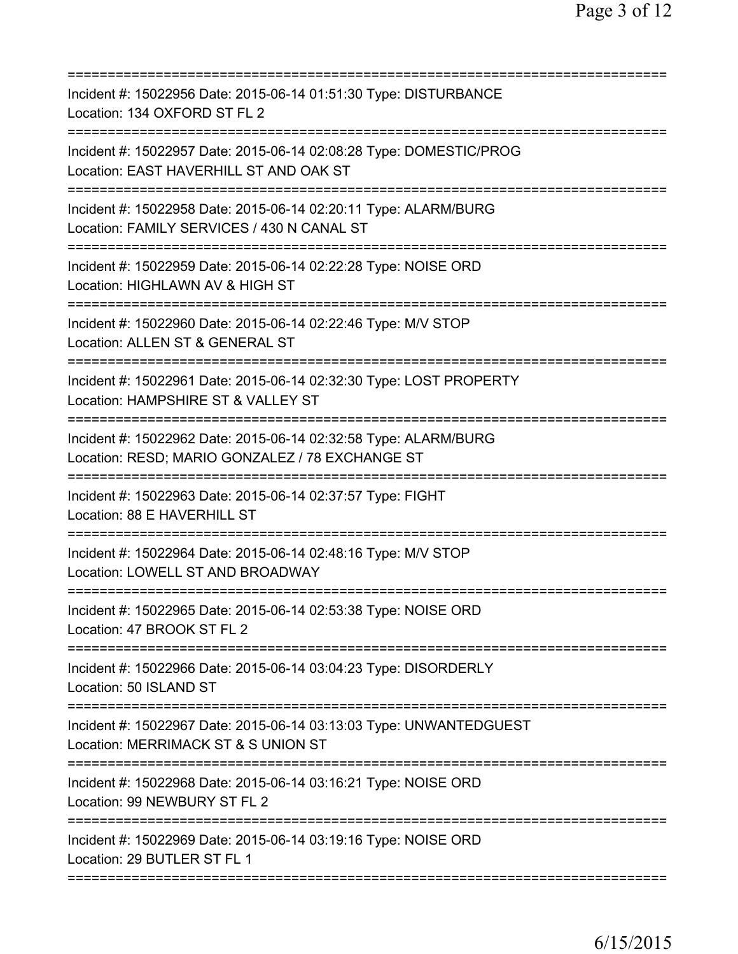| Incident #: 15022956 Date: 2015-06-14 01:51:30 Type: DISTURBANCE<br>Location: 134 OXFORD ST FL 2                                            |
|---------------------------------------------------------------------------------------------------------------------------------------------|
| Incident #: 15022957 Date: 2015-06-14 02:08:28 Type: DOMESTIC/PROG<br>Location: EAST HAVERHILL ST AND OAK ST                                |
| Incident #: 15022958 Date: 2015-06-14 02:20:11 Type: ALARM/BURG<br>Location: FAMILY SERVICES / 430 N CANAL ST                               |
| Incident #: 15022959 Date: 2015-06-14 02:22:28 Type: NOISE ORD<br>Location: HIGHLAWN AV & HIGH ST                                           |
| Incident #: 15022960 Date: 2015-06-14 02:22:46 Type: M/V STOP<br>Location: ALLEN ST & GENERAL ST                                            |
| Incident #: 15022961 Date: 2015-06-14 02:32:30 Type: LOST PROPERTY<br>Location: HAMPSHIRE ST & VALLEY ST                                    |
| Incident #: 15022962 Date: 2015-06-14 02:32:58 Type: ALARM/BURG<br>Location: RESD; MARIO GONZALEZ / 78 EXCHANGE ST<br>===================== |
| Incident #: 15022963 Date: 2015-06-14 02:37:57 Type: FIGHT<br>Location: 88 E HAVERHILL ST<br>============================                   |
| Incident #: 15022964 Date: 2015-06-14 02:48:16 Type: M/V STOP<br>Location: LOWELL ST AND BROADWAY                                           |
| Incident #: 15022965 Date: 2015-06-14 02:53:38 Type: NOISE ORD<br>Location: 47 BROOK ST FL 2                                                |
| Incident #: 15022966 Date: 2015-06-14 03:04:23 Type: DISORDERLY<br>Location: 50 ISLAND ST                                                   |
| Incident #: 15022967 Date: 2015-06-14 03:13:03 Type: UNWANTEDGUEST<br>Location: MERRIMACK ST & S UNION ST                                   |
| Incident #: 15022968 Date: 2015-06-14 03:16:21 Type: NOISE ORD<br>Location: 99 NEWBURY ST FL 2                                              |
| Incident #: 15022969 Date: 2015-06-14 03:19:16 Type: NOISE ORD<br>Location: 29 BUTLER ST FL 1                                               |
|                                                                                                                                             |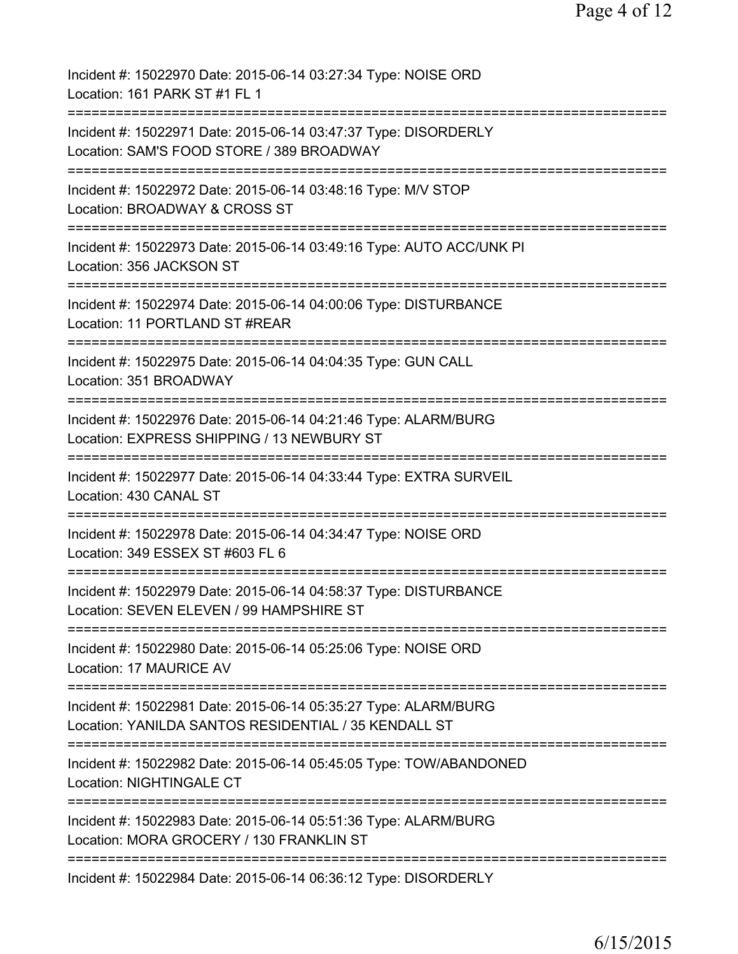| Incident #: 15022970 Date: 2015-06-14 03:27:34 Type: NOISE ORD<br>Location: 161 PARK ST #1 FL 1                                       |
|---------------------------------------------------------------------------------------------------------------------------------------|
| =====================<br>Incident #: 15022971 Date: 2015-06-14 03:47:37 Type: DISORDERLY<br>Location: SAM'S FOOD STORE / 389 BROADWAY |
| Incident #: 15022972 Date: 2015-06-14 03:48:16 Type: M/V STOP<br>Location: BROADWAY & CROSS ST                                        |
| Incident #: 15022973 Date: 2015-06-14 03:49:16 Type: AUTO ACC/UNK PI<br>Location: 356 JACKSON ST                                      |
| Incident #: 15022974 Date: 2015-06-14 04:00:06 Type: DISTURBANCE<br>Location: 11 PORTLAND ST #REAR                                    |
| Incident #: 15022975 Date: 2015-06-14 04:04:35 Type: GUN CALL<br>Location: 351 BROADWAY                                               |
| Incident #: 15022976 Date: 2015-06-14 04:21:46 Type: ALARM/BURG<br>Location: EXPRESS SHIPPING / 13 NEWBURY ST                         |
| Incident #: 15022977 Date: 2015-06-14 04:33:44 Type: EXTRA SURVEIL<br>Location: 430 CANAL ST                                          |
| Incident #: 15022978 Date: 2015-06-14 04:34:47 Type: NOISE ORD<br>Location: 349 ESSEX ST #603 FL 6                                    |
| Incident #: 15022979 Date: 2015-06-14 04:58:37 Type: DISTURBANCE<br>Location: SEVEN ELEVEN / 99 HAMPSHIRE ST                          |
| Incident #: 15022980 Date: 2015-06-14 05:25:06 Type: NOISE ORD<br><b>Location: 17 MAURICE AV</b>                                      |
| Incident #: 15022981 Date: 2015-06-14 05:35:27 Type: ALARM/BURG<br>Location: YANILDA SANTOS RESIDENTIAL / 35 KENDALL ST               |
| Incident #: 15022982 Date: 2015-06-14 05:45:05 Type: TOW/ABANDONED<br>Location: NIGHTINGALE CT                                        |
| Incident #: 15022983 Date: 2015-06-14 05:51:36 Type: ALARM/BURG<br>Location: MORA GROCERY / 130 FRANKLIN ST                           |
| Incident #: 15022984 Date: 2015-06-14 06:36:12 Type: DISORDERLY                                                                       |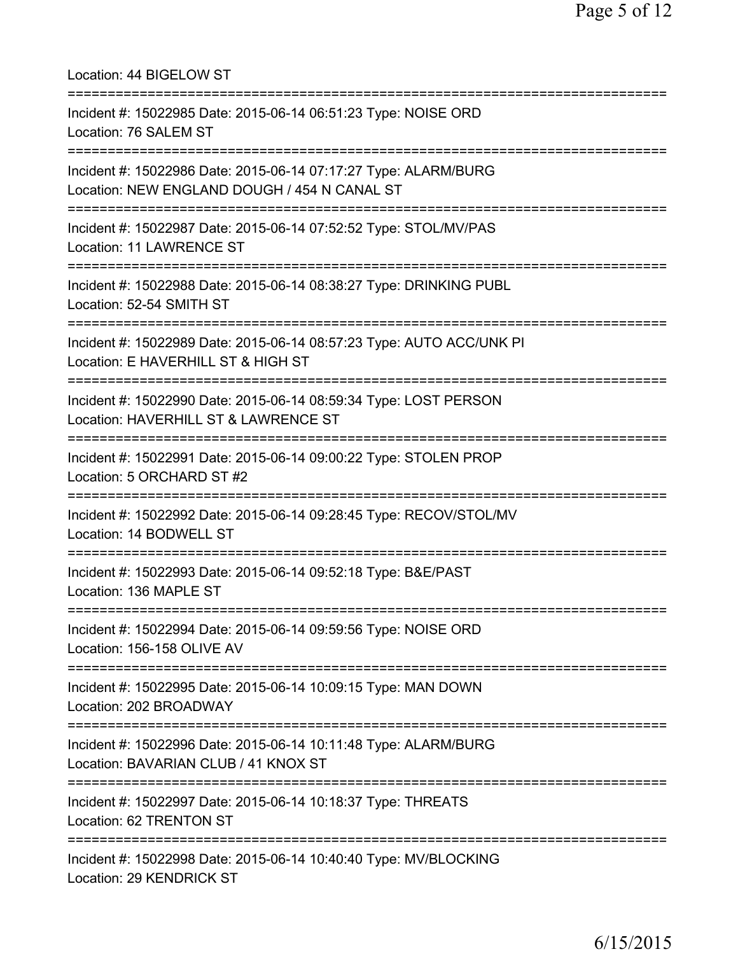| Location: 44 BIGELOW ST<br>=====================================                                                                            |
|---------------------------------------------------------------------------------------------------------------------------------------------|
| Incident #: 15022985 Date: 2015-06-14 06:51:23 Type: NOISE ORD<br>Location: 76 SALEM ST<br>===============================                  |
| Incident #: 15022986 Date: 2015-06-14 07:17:27 Type: ALARM/BURG<br>Location: NEW ENGLAND DOUGH / 454 N CANAL ST                             |
| Incident #: 15022987 Date: 2015-06-14 07:52:52 Type: STOL/MV/PAS<br>Location: 11 LAWRENCE ST                                                |
| Incident #: 15022988 Date: 2015-06-14 08:38:27 Type: DRINKING PUBL<br>Location: 52-54 SMITH ST                                              |
| Incident #: 15022989 Date: 2015-06-14 08:57:23 Type: AUTO ACC/UNK PI<br>Location: E HAVERHILL ST & HIGH ST<br>======================        |
| Incident #: 15022990 Date: 2015-06-14 08:59:34 Type: LOST PERSON<br>Location: HAVERHILL ST & LAWRENCE ST<br>=============================== |
| Incident #: 15022991 Date: 2015-06-14 09:00:22 Type: STOLEN PROP<br>Location: 5 ORCHARD ST #2                                               |
| Incident #: 15022992 Date: 2015-06-14 09:28:45 Type: RECOV/STOL/MV<br>Location: 14 BODWELL ST                                               |
| Incident #: 15022993 Date: 2015-06-14 09:52:18 Type: B&E/PAST<br>Location: 136 MAPLE ST                                                     |
| ====================================<br>Incident #: 15022994 Date: 2015-06-14 09:59:56 Type: NOISE ORD<br>Location: 156-158 OLIVE AV        |
| Incident #: 15022995 Date: 2015-06-14 10:09:15 Type: MAN DOWN<br>Location: 202 BROADWAY                                                     |
| Incident #: 15022996 Date: 2015-06-14 10:11:48 Type: ALARM/BURG<br>Location: BAVARIAN CLUB / 41 KNOX ST                                     |
| Incident #: 15022997 Date: 2015-06-14 10:18:37 Type: THREATS<br>Location: 62 TRENTON ST                                                     |
| Incident #: 15022998 Date: 2015-06-14 10:40:40 Type: MV/BLOCKING<br>Location: 29 KENDRICK ST                                                |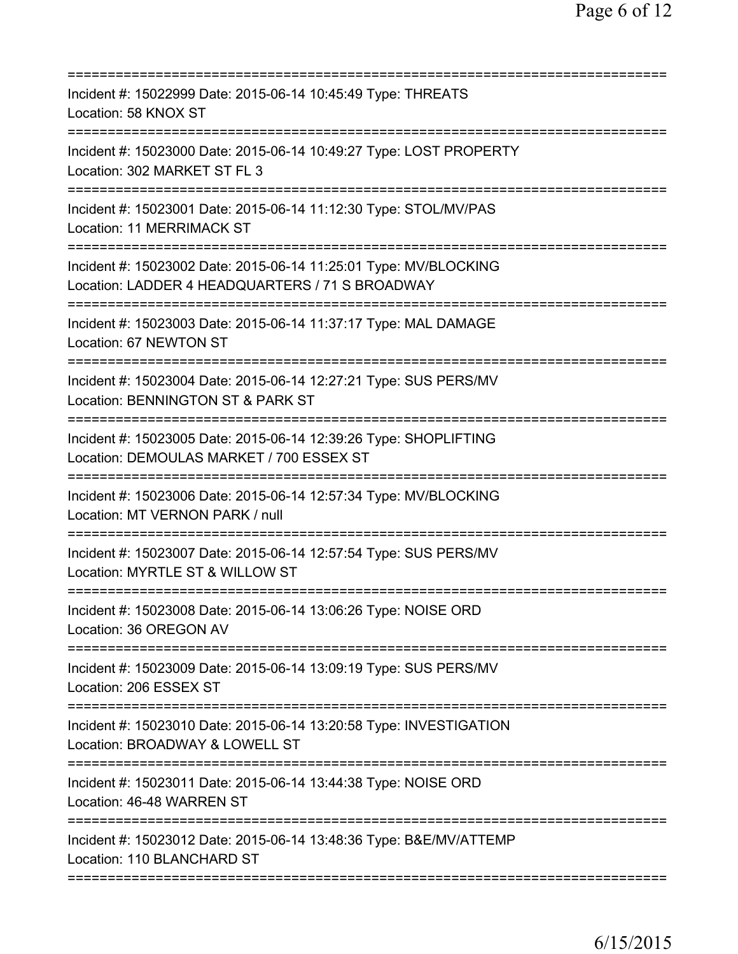| Incident #: 15022999 Date: 2015-06-14 10:45:49 Type: THREATS<br>Location: 58 KNOX ST                                                        |
|---------------------------------------------------------------------------------------------------------------------------------------------|
| Incident #: 15023000 Date: 2015-06-14 10:49:27 Type: LOST PROPERTY<br>Location: 302 MARKET ST FL 3                                          |
| Incident #: 15023001 Date: 2015-06-14 11:12:30 Type: STOL/MV/PAS<br>Location: 11 MERRIMACK ST                                               |
| Incident #: 15023002 Date: 2015-06-14 11:25:01 Type: MV/BLOCKING<br>Location: LADDER 4 HEADQUARTERS / 71 S BROADWAY                         |
| Incident #: 15023003 Date: 2015-06-14 11:37:17 Type: MAL DAMAGE<br>Location: 67 NEWTON ST                                                   |
| ==================================<br>Incident #: 15023004 Date: 2015-06-14 12:27:21 Type: SUS PERS/MV<br>Location: BENNINGTON ST & PARK ST |
| Incident #: 15023005 Date: 2015-06-14 12:39:26 Type: SHOPLIFTING<br>Location: DEMOULAS MARKET / 700 ESSEX ST                                |
| Incident #: 15023006 Date: 2015-06-14 12:57:34 Type: MV/BLOCKING<br>Location: MT VERNON PARK / null                                         |
| Incident #: 15023007 Date: 2015-06-14 12:57:54 Type: SUS PERS/MV<br>Location: MYRTLE ST & WILLOW ST                                         |
| Incident #: 15023008 Date: 2015-06-14 13:06:26 Type: NOISE ORD<br>Location: 36 OREGON AV                                                    |
| Incident #: 15023009 Date: 2015-06-14 13:09:19 Type: SUS PERS/MV<br>Location: 206 ESSEX ST                                                  |
| Incident #: 15023010 Date: 2015-06-14 13:20:58 Type: INVESTIGATION<br>Location: BROADWAY & LOWELL ST                                        |
| Incident #: 15023011 Date: 2015-06-14 13:44:38 Type: NOISE ORD<br>Location: 46-48 WARREN ST                                                 |
| Incident #: 15023012 Date: 2015-06-14 13:48:36 Type: B&E/MV/ATTEMP<br>Location: 110 BLANCHARD ST                                            |
|                                                                                                                                             |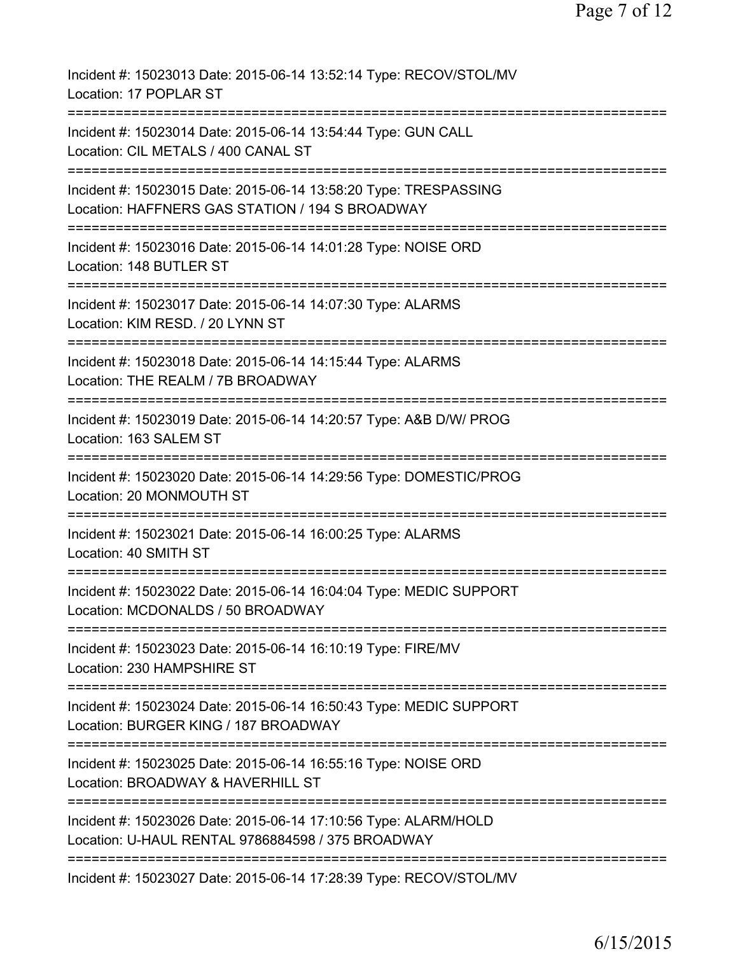| Incident #: 15023013 Date: 2015-06-14 13:52:14 Type: RECOV/STOL/MV<br>Location: 17 POPLAR ST                                                       |
|----------------------------------------------------------------------------------------------------------------------------------------------------|
| Incident #: 15023014 Date: 2015-06-14 13:54:44 Type: GUN CALL<br>Location: CIL METALS / 400 CANAL ST                                               |
| Incident #: 15023015 Date: 2015-06-14 13:58:20 Type: TRESPASSING<br>Location: HAFFNERS GAS STATION / 194 S BROADWAY<br>.========================== |
| Incident #: 15023016 Date: 2015-06-14 14:01:28 Type: NOISE ORD<br>Location: 148 BUTLER ST                                                          |
| Incident #: 15023017 Date: 2015-06-14 14:07:30 Type: ALARMS<br>Location: KIM RESD. / 20 LYNN ST                                                    |
| Incident #: 15023018 Date: 2015-06-14 14:15:44 Type: ALARMS<br>Location: THE REALM / 7B BROADWAY                                                   |
| Incident #: 15023019 Date: 2015-06-14 14:20:57 Type: A&B D/W/ PROG<br>Location: 163 SALEM ST                                                       |
| Incident #: 15023020 Date: 2015-06-14 14:29:56 Type: DOMESTIC/PROG<br>Location: 20 MONMOUTH ST                                                     |
| Incident #: 15023021 Date: 2015-06-14 16:00:25 Type: ALARMS<br>Location: 40 SMITH ST                                                               |
| Incident #: 15023022 Date: 2015-06-14 16:04:04 Type: MEDIC SUPPORT<br>Location: MCDONALDS / 50 BROADWAY                                            |
| Incident #: 15023023 Date: 2015-06-14 16:10:19 Type: FIRE/MV<br>Location: 230 HAMPSHIRE ST                                                         |
| Incident #: 15023024 Date: 2015-06-14 16:50:43 Type: MEDIC SUPPORT<br>Location: BURGER KING / 187 BROADWAY                                         |
| ================================<br>Incident #: 15023025 Date: 2015-06-14 16:55:16 Type: NOISE ORD<br>Location: BROADWAY & HAVERHILL ST            |
| Incident #: 15023026 Date: 2015-06-14 17:10:56 Type: ALARM/HOLD<br>Location: U-HAUL RENTAL 9786884598 / 375 BROADWAY                               |
| Incident #: 15023027 Date: 2015-06-14 17:28:39 Type: RECOV/STOL/MV                                                                                 |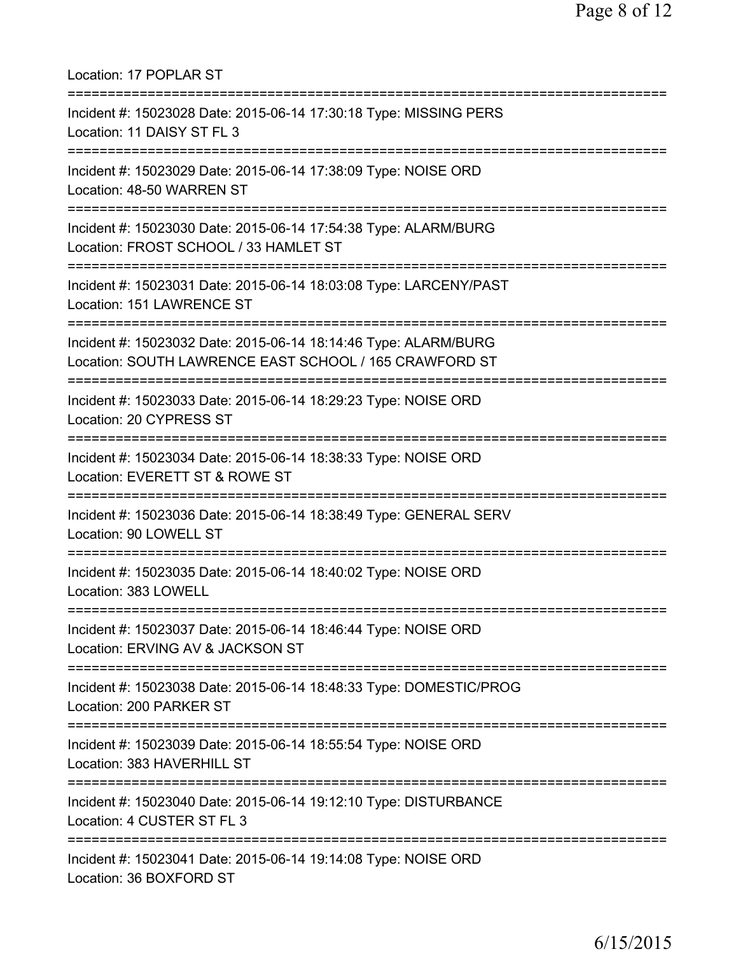| Location: 17 POPLAR ST                                                                                                                       |
|----------------------------------------------------------------------------------------------------------------------------------------------|
| Incident #: 15023028 Date: 2015-06-14 17:30:18 Type: MISSING PERS<br>Location: 11 DAISY ST FL 3                                              |
| Incident #: 15023029 Date: 2015-06-14 17:38:09 Type: NOISE ORD<br>Location: 48-50 WARREN ST                                                  |
| Incident #: 15023030 Date: 2015-06-14 17:54:38 Type: ALARM/BURG<br>Location: FROST SCHOOL / 33 HAMLET ST<br>================================ |
| Incident #: 15023031 Date: 2015-06-14 18:03:08 Type: LARCENY/PAST<br>Location: 151 LAWRENCE ST                                               |
| Incident #: 15023032 Date: 2015-06-14 18:14:46 Type: ALARM/BURG<br>Location: SOUTH LAWRENCE EAST SCHOOL / 165 CRAWFORD ST                    |
| Incident #: 15023033 Date: 2015-06-14 18:29:23 Type: NOISE ORD<br>Location: 20 CYPRESS ST                                                    |
| Incident #: 15023034 Date: 2015-06-14 18:38:33 Type: NOISE ORD<br>Location: EVERETT ST & ROWE ST                                             |
| Incident #: 15023036 Date: 2015-06-14 18:38:49 Type: GENERAL SERV<br>Location: 90 LOWELL ST                                                  |
| Incident #: 15023035 Date: 2015-06-14 18:40:02 Type: NOISE ORD<br>Location: 383 LOWELL                                                       |
| Incident #: 15023037 Date: 2015-06-14 18:46:44 Type: NOISE ORD<br>Location: ERVING AV & JACKSON ST                                           |
| Incident #: 15023038 Date: 2015-06-14 18:48:33 Type: DOMESTIC/PROG<br>Location: 200 PARKER ST                                                |
| ==================================<br>Incident #: 15023039 Date: 2015-06-14 18:55:54 Type: NOISE ORD<br>Location: 383 HAVERHILL ST           |
| Incident #: 15023040 Date: 2015-06-14 19:12:10 Type: DISTURBANCE<br>Location: 4 CUSTER ST FL 3                                               |
| Incident #: 15023041 Date: 2015-06-14 19:14:08 Type: NOISE ORD<br>Location: 36 BOXFORD ST                                                    |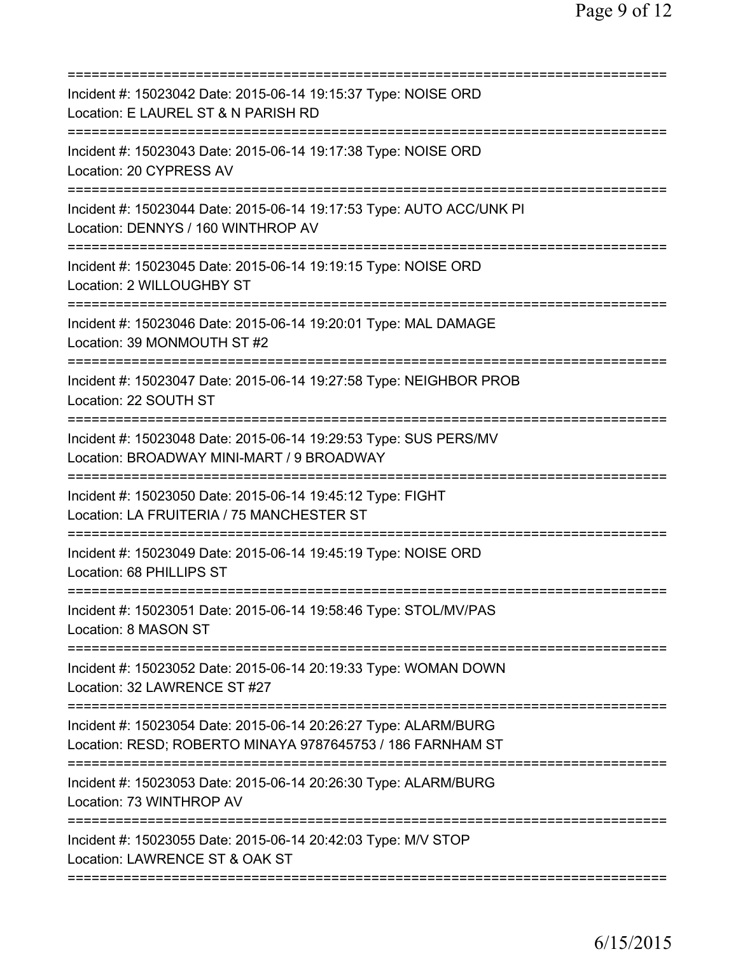| Incident #: 15023042 Date: 2015-06-14 19:15:37 Type: NOISE ORD<br>Location: E LAUREL ST & N PARISH RD                                  |
|----------------------------------------------------------------------------------------------------------------------------------------|
| Incident #: 15023043 Date: 2015-06-14 19:17:38 Type: NOISE ORD<br>Location: 20 CYPRESS AV                                              |
| Incident #: 15023044 Date: 2015-06-14 19:17:53 Type: AUTO ACC/UNK PI<br>Location: DENNYS / 160 WINTHROP AV<br>====================     |
| Incident #: 15023045 Date: 2015-06-14 19:19:15 Type: NOISE ORD<br>Location: 2 WILLOUGHBY ST<br>=====================                   |
| Incident #: 15023046 Date: 2015-06-14 19:20:01 Type: MAL DAMAGE<br>Location: 39 MONMOUTH ST #2                                         |
| Incident #: 15023047 Date: 2015-06-14 19:27:58 Type: NEIGHBOR PROB<br>Location: 22 SOUTH ST                                            |
| Incident #: 15023048 Date: 2015-06-14 19:29:53 Type: SUS PERS/MV<br>Location: BROADWAY MINI-MART / 9 BROADWAY<br>--------------------- |
| Incident #: 15023050 Date: 2015-06-14 19:45:12 Type: FIGHT<br>Location: LA FRUITERIA / 75 MANCHESTER ST                                |
| Incident #: 15023049 Date: 2015-06-14 19:45:19 Type: NOISE ORD<br>Location: 68 PHILLIPS ST                                             |
| Incident #: 15023051 Date: 2015-06-14 19:58:46 Type: STOL/MV/PAS<br>Location: 8 MASON ST                                               |
| Incident #: 15023052 Date: 2015-06-14 20:19:33 Type: WOMAN DOWN<br>Location: 32 LAWRENCE ST #27                                        |
| Incident #: 15023054 Date: 2015-06-14 20:26:27 Type: ALARM/BURG<br>Location: RESD; ROBERTO MINAYA 9787645753 / 186 FARNHAM ST          |
| Incident #: 15023053 Date: 2015-06-14 20:26:30 Type: ALARM/BURG<br>Location: 73 WINTHROP AV                                            |
| Incident #: 15023055 Date: 2015-06-14 20:42:03 Type: M/V STOP<br>Location: LAWRENCE ST & OAK ST                                        |
|                                                                                                                                        |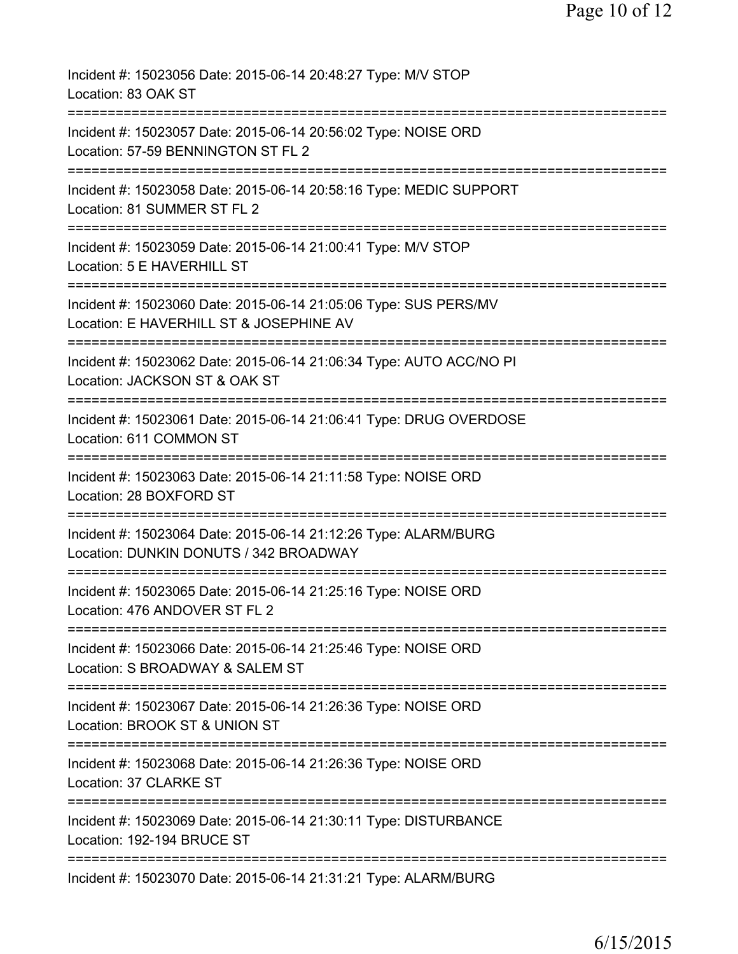| Incident #: 15023056 Date: 2015-06-14 20:48:27 Type: M/V STOP<br>Location: 83 OAK ST                                           |
|--------------------------------------------------------------------------------------------------------------------------------|
| Incident #: 15023057 Date: 2015-06-14 20:56:02 Type: NOISE ORD<br>Location: 57-59 BENNINGTON ST FL 2                           |
| Incident #: 15023058 Date: 2015-06-14 20:58:16 Type: MEDIC SUPPORT<br>Location: 81 SUMMER ST FL 2                              |
| Incident #: 15023059 Date: 2015-06-14 21:00:41 Type: M/V STOP<br>Location: 5 E HAVERHILL ST                                    |
| Incident #: 15023060 Date: 2015-06-14 21:05:06 Type: SUS PERS/MV<br>Location: E HAVERHILL ST & JOSEPHINE AV                    |
| ======================<br>Incident #: 15023062 Date: 2015-06-14 21:06:34 Type: AUTO ACC/NO PI<br>Location: JACKSON ST & OAK ST |
| Incident #: 15023061 Date: 2015-06-14 21:06:41 Type: DRUG OVERDOSE<br>Location: 611 COMMON ST                                  |
| Incident #: 15023063 Date: 2015-06-14 21:11:58 Type: NOISE ORD<br>Location: 28 BOXFORD ST                                      |
| Incident #: 15023064 Date: 2015-06-14 21:12:26 Type: ALARM/BURG<br>Location: DUNKIN DONUTS / 342 BROADWAY                      |
| Incident #: 15023065 Date: 2015-06-14 21:25:16 Type: NOISE ORD<br>Location: 476 ANDOVER ST FL 2                                |
| Incident #: 15023066 Date: 2015-06-14 21:25:46 Type: NOISE ORD<br>Location: S BROADWAY & SALEM ST                              |
| Incident #: 15023067 Date: 2015-06-14 21:26:36 Type: NOISE ORD<br>Location: BROOK ST & UNION ST                                |
| Incident #: 15023068 Date: 2015-06-14 21:26:36 Type: NOISE ORD<br>Location: 37 CLARKE ST                                       |
| Incident #: 15023069 Date: 2015-06-14 21:30:11 Type: DISTURBANCE<br>Location: 192-194 BRUCE ST                                 |
| Incident #: 15023070 Date: 2015-06-14 21:31:21 Type: ALARM/BURG                                                                |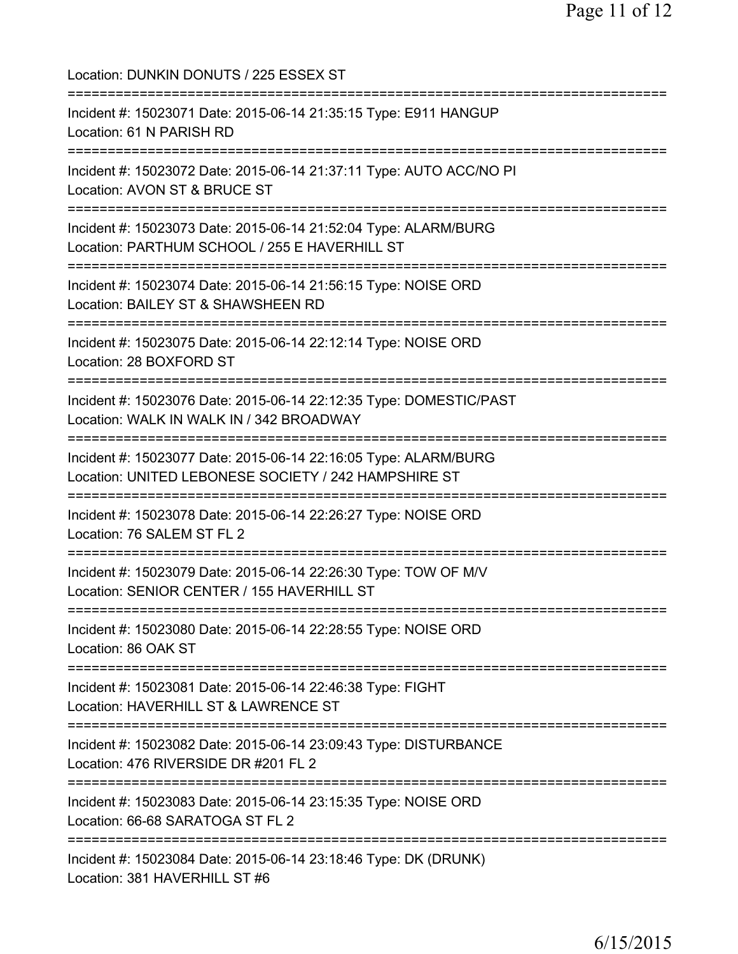Location: DUNKIN DONUTS / 225 ESSEX ST =========================================================================== Incident #: 15023071 Date: 2015-06-14 21:35:15 Type: E911 HANGUP Location: 61 N PARISH RD =========================================================================== Incident #: 15023072 Date: 2015-06-14 21:37:11 Type: AUTO ACC/NO PI Location: AVON ST & BRUCE ST =========================================================================== Incident #: 15023073 Date: 2015-06-14 21:52:04 Type: ALARM/BURG Location: PARTHUM SCHOOL / 255 E HAVERHILL ST =========================================================================== Incident #: 15023074 Date: 2015-06-14 21:56:15 Type: NOISE ORD Location: BAILEY ST & SHAWSHEEN RD =========================================================================== Incident #: 15023075 Date: 2015-06-14 22:12:14 Type: NOISE ORD Location: 28 BOXFORD ST =========================================================================== Incident #: 15023076 Date: 2015-06-14 22:12:35 Type: DOMESTIC/PAST Location: WALK IN WALK IN / 342 BROADWAY =========================================================================== Incident #: 15023077 Date: 2015-06-14 22:16:05 Type: ALARM/BURG Location: UNITED LEBONESE SOCIETY / 242 HAMPSHIRE ST =========================================================================== Incident #: 15023078 Date: 2015-06-14 22:26:27 Type: NOISE ORD Location: 76 SALEM ST FL 2 =========================================================================== Incident #: 15023079 Date: 2015-06-14 22:26:30 Type: TOW OF M/V Location: SENIOR CENTER / 155 HAVERHILL ST =========================================================================== Incident #: 15023080 Date: 2015-06-14 22:28:55 Type: NOISE ORD Location: 86 OAK ST =========================================================================== Incident #: 15023081 Date: 2015-06-14 22:46:38 Type: FIGHT Location: HAVERHILL ST & LAWRENCE ST =========================================================================== Incident #: 15023082 Date: 2015-06-14 23:09:43 Type: DISTURBANCE Location: 476 RIVERSIDE DR #201 FL 2 =========================================================================== Incident #: 15023083 Date: 2015-06-14 23:15:35 Type: NOISE ORD Location: 66-68 SARATOGA ST FL 2 =========================================================================== Incident #: 15023084 Date: 2015-06-14 23:18:46 Type: DK (DRUNK) Location: 381 HAVERHILL ST #6